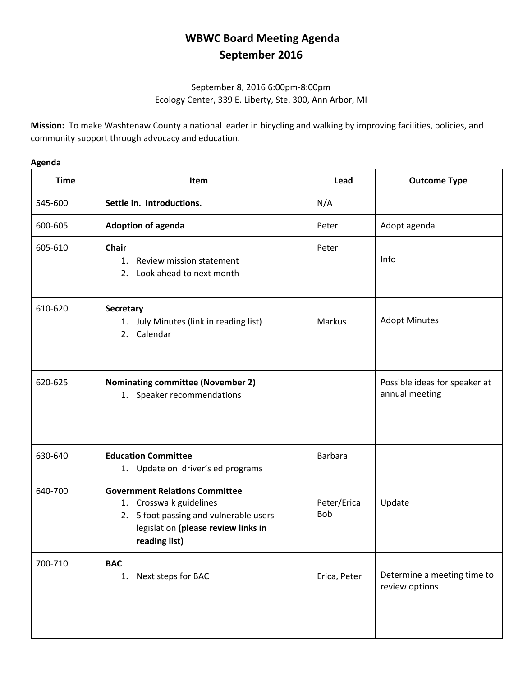# **WBWC Board Meeting Agenda September 2016**

### September 8, 2016 6:00pm-8:00pm Ecology Center, 339 E. Liberty, Ste. 300, Ann Arbor, MI

**Mission:** To make Washtenaw County a national leader in bicycling and walking by improving facilities, policies, and community support through advocacy and education.

# **Time**  $\vert$  **Item Item If the Lead Cuttome Type** 545-600 **Settle in. Introductions.** And **N/A** 600-605 **Adoption of agenda Adoption of agenda Adoption 1** Peter Adopt agenda 605610 **Chair** 1. Review mission statement 2. Look ahead to next month Peter Info 610620 **Secretary** 1. July Minutes (link in reading list) 2. Calendar Markus | Adopt Minutes 620625 **Nominating committee (November 2)** 1. Speaker recommendations Possible ideas for speaker at annual meeting 630640 **Education Committee** 1. Update on driver's ed programs Barbara 640700 **Government Relations Committee** 1. Crosswalk guidelines 2. 5 foot passing and vulnerable users legislation **(please review links in reading list)** Peter/Erica Bob Update 700710 **BAC** 1. Next steps for BAC **Erica**, Peter Determine a meeting time to review options

### **Agenda**